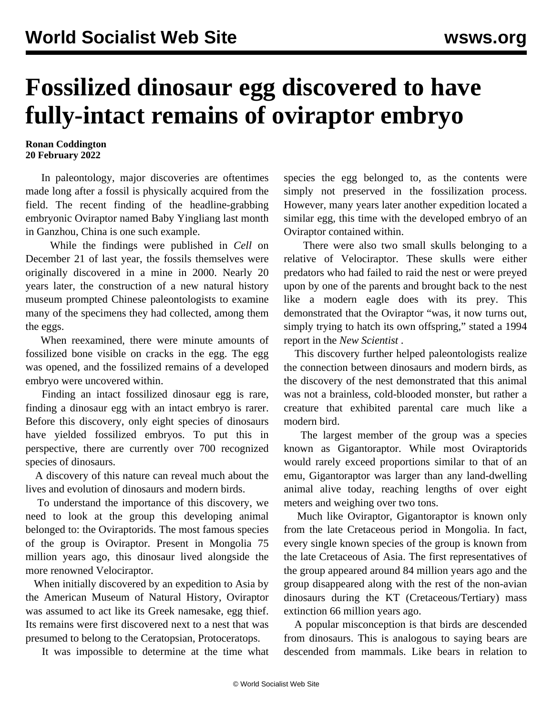## **Fossilized dinosaur egg discovered to have fully-intact remains of oviraptor embryo**

## **Ronan Coddington 20 February 2022**

 In paleontology, major discoveries are oftentimes made long after a fossil is physically acquired from the field. The recent finding of the headline-grabbing embryonic Oviraptor named Baby Yingliang last month in Ganzhou, China is one such example.

 While the findings were published in *Cell* on December 21 of last year, the fossils themselves were originally discovered in a mine in 2000. Nearly 20 years later, the construction of a new natural history museum prompted Chinese paleontologists to examine many of the specimens they had collected, among them the eggs.

 When reexamined, there were minute amounts of fossilized bone visible on cracks in the egg. The egg was opened, and the fossilized remains of a developed embryo were uncovered within.

 Finding an intact fossilized dinosaur egg is rare, finding a dinosaur egg with an intact embryo is rarer. Before this discovery, only eight species of dinosaurs have yielded fossilized embryos. To put this in perspective, there are currently over 700 recognized species of dinosaurs.

 A discovery of this nature can reveal much about the lives and evolution of dinosaurs and modern birds.

 To understand the importance of this discovery, we need to look at the group this developing animal belonged to: the Oviraptorids. The most famous species of the group is Oviraptor. Present in Mongolia 75 million years ago, this dinosaur lived alongside the more renowned Velociraptor.

 When initially discovered by an expedition to Asia by the American Museum of Natural History, Oviraptor was assumed to act like its Greek namesake, egg thief. Its remains were first discovered next to a nest that was presumed to belong to the Ceratopsian, Protoceratops.

It was impossible to determine at the time what

species the egg belonged to, as the contents were simply not preserved in the fossilization process. However, many years later another expedition located a similar egg, this time with the developed embryo of an Oviraptor contained within.

 There were also two small skulls belonging to a relative of Velociraptor. These skulls were either predators who had failed to raid the nest or were preyed upon by one of the parents and brought back to the nest like a modern eagle does with its prey. This demonstrated that the Oviraptor "was, it now turns out, simply trying to hatch its own offspring," stated a 1994 report in the *New Scientist* .

 This discovery further helped paleontologists realize the connection between dinosaurs and modern birds, as the discovery of the nest demonstrated that this animal was not a brainless, cold-blooded monster, but rather a creature that exhibited parental care much like a modern bird.

 The largest member of the group was a species known as Gigantoraptor. While most Oviraptorids would rarely exceed proportions similar to that of an emu, Gigantoraptor was larger than any land-dwelling animal alive today, reaching lengths of over eight meters and weighing over two tons.

 Much like Oviraptor, Gigantoraptor is known only from the late Cretaceous period in Mongolia. In fact, every single known species of the group is known from the late Cretaceous of Asia. The first representatives of the group appeared around 84 million years ago and the group disappeared along with the rest of the non-avian dinosaurs during the KT (Cretaceous/Tertiary) mass extinction 66 million years ago.

 A popular misconception is that birds are descended from dinosaurs. This is analogous to saying bears are descended from mammals. Like bears in relation to